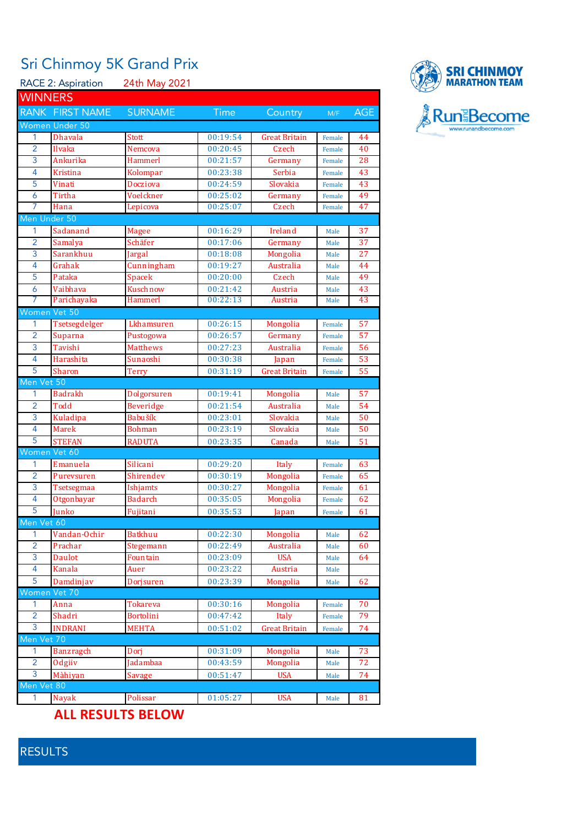## Sri Chinmoy 5K Grand Prix

RACE 2: Aspiration 24th May 2021 **WINNERS** RANK FIRST NAME SURNAME Time Country M/F AGE Women Under 50 1 Dhavala Stott 1 00:19:54 Great Britain Female 44 2 Ilvaka Nemcova 00:20:45 Czech Female 40 3 Ankurika Hammerl 00:21:57 Germany Female 28 4 Kristina Kolompar 00:23:38 Serbia Female 43 5 Vinati Docziova 00:24:59 Slovakia Female 43 6 Tirtha Voelckner 00:25:02 Germany Female 49 7 Hana Lepicova 00:25:07 Czech Female 47 Men Under 50 1 Sadanand Magee 00:16:29 Ireland Male 37 2 Samalya Schäfer 190:17:06 Germany Male 37 3 Sarankhuu Jargal 00:18:08 Mongolia Male 27 4 Grahak Cunningham 00:19:27 Australia Male 44 5 Pataka Spacek 00:20:00 Czech Male 49 6 Vaibhava Kuschnow 00:21:42 Austria Male 43 7 Parichayaka Hammerl 00:22:13 Austria Male 43 Women Vet 50 1 Tsetsegdelger Lkhamsuren 00:26:15 Mongolia Female 57 2 Suparna Pustogowa 00:26:57 Germany Female 57 3 Tavishi Matthews 00:27:23 Australia Female 56 4 Harashita Sunaoshi 00:30:38 Japan Female 53 5 Sharon Terry 00:31:19 Great Britain Female 55 len Vet 50 1 Badrakh Dolgorsuren 00:19:41 Mongolia Male 57 2 Todd **Beveridge** 00:21:54 Australia Male 54 3 Kuladipa Babušík 00:23:01 Slovakia Male 50 4 Marek Bohman 00:23:19 Slovakia Male 50 5 STEFAN RADUTA 00:23:35 Canada Male 51 'omen Vet 60 1 Emanuela Silicani 1 00:29:20 Italy Female 63 2 Purevsuren Shirendev 00:30:19 Mongolia Female 65 3 Tsetsegmaa Ishjamts 00:30:27 Mongolia Female 61 4 Otgonbayar Badarch 00:35:05 Mongolia Female 62 5 Junko Fujitani 00:35:53 Japan Female 61 **Men Vet 6** 1 Vandan-Ochir Batkhuu 00:22:30 Mongolia Male 62 2 Prachar Stegemann 00:22:49 Australia Male 60 3 Daulot Fountain 00:23:09 USA Male 64 4 Kanala Auer 00:23:22 Austria Male 5 Damdinjav Dorjsuren 00:23:39 Mongolia Male 62 omen Vet 70 1 Anna 1 Tokareva 1 00:30:16 Mongolia Female 70 2 Shadri Bortolini 00:47:42 Italy Female 79 3 INDRANI MEHTA 00:51:02 Great Britain Female 74 len Vet 1 Banzragch Dorj 00:31:09 Mongolia Male 73 2 Odgiiv Jadambaa 00:43:59 Mongolia Male 72 3 Màhiyan Savage 00:51:47 USA Male 74  $\cdot$ n Vet 80 1 Nayak Polissar 01:05:27 USA Male 81

## **ALL RESULTS BELOW**



RESULTS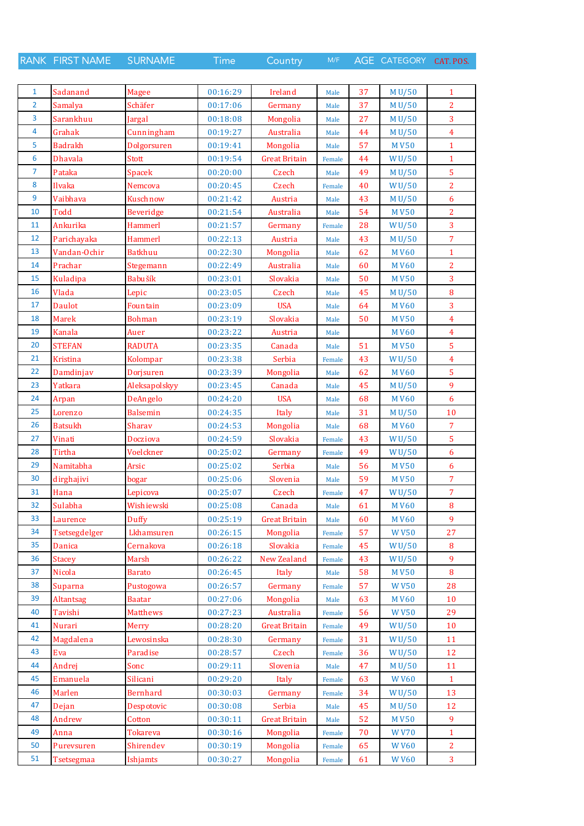RANK FIRST NAME SURNAME Time Country M/F AGE CATEGORY CAT. POS.

| $\mathbf{1}$            | Sadanand       | <b>Magee</b>     | 00:16:29 | Ireland              | Male   | 37 | M U/50      | $\mathbf{1}$        |
|-------------------------|----------------|------------------|----------|----------------------|--------|----|-------------|---------------------|
| $\overline{2}$          | Samalya        | Schäfer          | 00:17:06 | Germany              | Male   | 37 | M U/50      | $\overline{2}$      |
| 3                       | Sarankhuu      | Jargal           | 00:18:08 | Mongolia             | Male   | 27 | M U/50      | 3                   |
| $\overline{\mathbf{4}}$ | Grahak         | Cunningham       | 00:19:27 | Australia            | Male   | 44 | M U/50      | $\overline{4}$      |
| 5                       | <b>Badrakh</b> | Dolgorsuren      | 00:19:41 | Mongolia             | Male   | 57 | <b>MV50</b> | $\mathbf{1}$        |
| 6                       | <b>Dhavala</b> | Stott            | 00:19:54 | <b>Great Britain</b> | Female | 44 | WU/50       | $\mathbf{1}$        |
| $\overline{7}$          | Pataka         | Spacek           | 00:20:00 | Czech                | Male   | 49 | M U/50      | 5                   |
| 8                       | Ilvaka         | Nemcova          | 00:20:45 | Czech                | Female | 40 | WU/50       | $\overline{2}$      |
| 9                       | Vaibhava       | Kuschnow         | 00:21:42 | Austria              | Male   | 43 | M U/50      | 6                   |
| 10                      | <b>Todd</b>    | <b>Beveridge</b> | 00:21:54 | Australia            | Male   | 54 | <b>MV50</b> | $\overline{2}$      |
| 11                      | Ankurika       | Hammerl          | 00:21:57 | Germany              | Female | 28 | WU/50       | 3                   |
| 12                      | Parichayaka    | <b>Hammerl</b>   | 00:22:13 | Austria              | Male   | 43 | M U/50      | $\overline{7}$      |
| 13                      | Vandan-Ochir   | <b>Batkhuu</b>   | 00:22:30 | Mongolia             | Male   | 62 | <b>MV60</b> | $\mathbf{1}$        |
| 14                      | Prachar        | Stegemann        | 00:22:49 | Australia            | Male   | 60 | <b>MV60</b> | $\overline{2}$      |
| 15                      | Kuladipa       | Babušík          | 00:23:01 | Slovakia             |        | 50 | <b>MV50</b> | $\overline{3}$      |
| 16                      | Vlada          |                  | 00:23:05 |                      | Male   |    |             |                     |
| 17                      |                | Lepic            |          | Czech                | Male   | 45 | M U/50      | 8<br>$\overline{3}$ |
|                         | Daulot         | Fountain         | 00:23:09 | <b>USA</b>           | Male   | 64 | <b>MV60</b> |                     |
| 18                      | <b>Marek</b>   | <b>Bohman</b>    | 00:23:19 | Slovakia             | Male   | 50 | <b>MV50</b> | $\overline{4}$      |
| 19                      | Kanala         | Auer             | 00:23:22 | Austria              | Male   |    | <b>MV60</b> | $\overline{4}$      |
| 20                      | <b>STEFAN</b>  | <b>RADUTA</b>    | 00:23:35 | Canada               | Male   | 51 | <b>MV50</b> | 5                   |
| 21                      | Kristina       | Kolompar         | 00:23:38 | Serbia               | Female | 43 | WU/50       | $\overline{4}$      |
| 22                      | Damdinjav      | Dorjsuren        | 00:23:39 | Mongolia             | Male   | 62 | <b>MV60</b> | 5                   |
| 23                      | Yatkara        | Aleksapolskyy    | 00:23:45 | Canada               | Male   | 45 | M U/50      | 9                   |
| 24                      | Arpan          | DeAngelo         | 00:24:20 | <b>USA</b>           | Male   | 68 | <b>MV60</b> | 6                   |
| 25                      | Lorenzo        | <b>Balsemin</b>  | 00:24:35 | Italy                | Male   | 31 | M U/50      | 10                  |
| 26                      | <b>Batsukh</b> | Sharav           | 00:24:53 | Mongolia             | Male   | 68 | <b>MV60</b> | $\overline{7}$      |
| 27                      | Vinati         | Docziova         | 00:24:59 | Slovakia             | Female | 43 | WU/50       | 5                   |
| 28                      | Tirtha         | Voelckner        | 00:25:02 | Germany              | Female | 49 | WU/50       | $\overline{6}$      |
| 29                      | Namitabha      | Arsic            | 00:25:02 | Serbia               | Male   | 56 | <b>MV50</b> | 6                   |
| 30                      | dirghajivi     | bogar            | 00:25:06 | Slovenia             | Male   | 59 | <b>MV50</b> | $\overline{7}$      |
| 31                      | Hana           | Lepicova         | 00:25:07 | Czech                | Female | 47 | WU/50       | $\overline{7}$      |
| 32                      | Sulabha        | Wishiewski       | 00:25:08 | Canada               | Male   | 61 | <b>MV60</b> | 8                   |
| 33                      | Laurence       | Duffy            | 00:25:19 | <b>Great Britain</b> | Male   | 60 | <b>MV60</b> | 9                   |
| 34                      | Tsetsegdelger  | Lkhamsuren       | 00:26:15 | Mongolia             | Female | 57 | <b>WV50</b> | 27                  |
| 35                      | Danica         | Cernakova        | 00:26:18 | Slovakia             | Female | 45 | WU/50       | 8                   |
| 36                      | <b>Stacey</b>  | <b>Marsh</b>     | 00:26:22 | New Zealand          | Female | 43 | WU/50       | 9                   |
| 37                      | Nicola         | <b>Barato</b>    | 00:26:45 | Italy                | Male   | 58 | <b>MV50</b> | 8                   |
| 38                      | Suparna        | Pustogowa        | 00:26:57 | Germany              | Female | 57 | <b>WV50</b> | 28                  |
| 39                      | Altantsag      | <b>Baatar</b>    | 00:27:06 | Mongolia             | Male   | 63 | <b>MV60</b> | 10                  |
| 40                      | Tavishi        | Matthews         | 00:27:23 | Australia            | Female | 56 | <b>WV50</b> | 29                  |
| 41                      | Nurari         | <b>Merry</b>     | 00:28:20 | <b>Great Britain</b> | Female | 49 | WU/50       | 10                  |
| 42                      | Magdalena      | Lewosinska       | 00:28:30 | Germany              | Female | 31 | WU/50       | 11                  |
| 43                      | Eva            | Paradise         | 00:28:57 | Czech                | Female | 36 | WU/50       | 12                  |
| 44                      | Andrej         | Sonc             | 00:29:11 | Slovenia             | Male   | 47 | M U/50      | 11                  |
| 45                      | Emanuela       | Silicani         | 00:29:20 | Italy                | Female | 63 | <b>WV60</b> | $\mathbf{1}$        |
| 46                      | Marlen         | <b>Bernhard</b>  | 00:30:03 | Germany              | Female | 34 | WU/50       | 13                  |
| 47                      | Dejan          | Despotovic       | 00:30:08 | Serbia               | Male   | 45 | M U/50      | 12                  |
| 48                      | Andrew         | Cotton           | 00:30:11 | <b>Great Britain</b> | Male   | 52 | <b>MV50</b> | 9                   |
| 49                      | Anna           | <b>Tokareva</b>  | 00:30:16 | Mongolia             | Female | 70 | <b>WV70</b> | $\mathbf{1}$        |
| 50                      | Purevsuren     | Shirendev        | 00:30:19 | Mongolia             | Female | 65 | <b>WV60</b> | $\overline{2}$      |
| 51                      | Tsetsegmaa     | Ishjamts         | 00:30:27 | Mongolia             | Female | 61 | <b>WV60</b> | $\overline{3}$      |
|                         |                |                  |          |                      |        |    |             |                     |